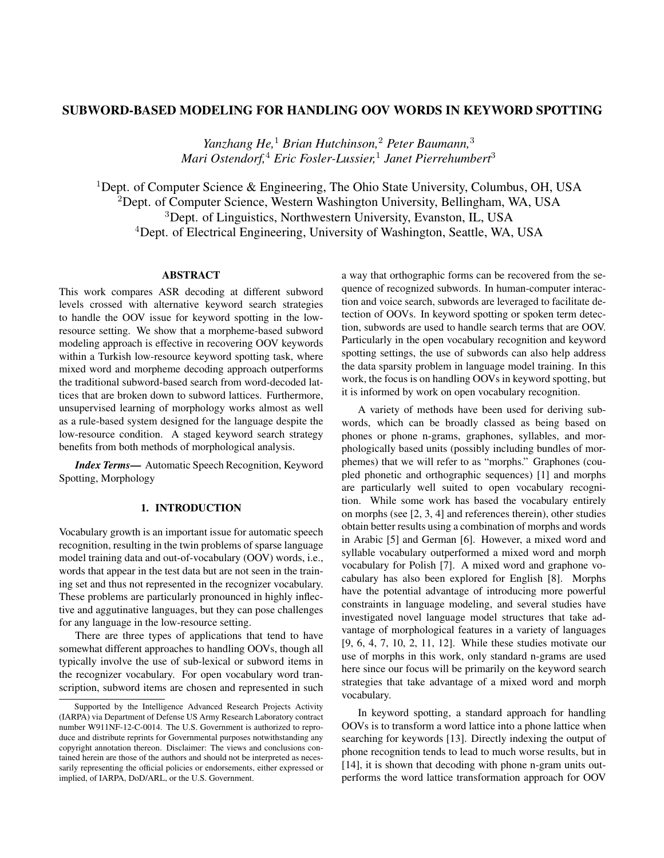# SUBWORD-BASED MODELING FOR HANDLING OOV WORDS IN KEYWORD SPOTTING

*Yanzhang He,*<sup>1</sup> *Brian Hutchinson,*<sup>2</sup> *Peter Baumann,*<sup>3</sup> *Mari Ostendorf,*<sup>4</sup> *Eric Fosler-Lussier,*<sup>1</sup> *Janet Pierrehumbert*<sup>3</sup>

<sup>1</sup>Dept. of Computer Science & Engineering, The Ohio State University, Columbus, OH, USA <sup>2</sup>Dept. of Computer Science, Western Washington University, Bellingham, WA, USA <sup>3</sup>Dept. of Linguistics, Northwestern University, Evanston, IL, USA <sup>4</sup>Dept. of Electrical Engineering, University of Washington, Seattle, WA, USA

# **ABSTRACT**

This work compares ASR decoding at different subword levels crossed with alternative keyword search strategies to handle the OOV issue for keyword spotting in the lowresource setting. We show that a morpheme-based subword modeling approach is effective in recovering OOV keywords within a Turkish low-resource keyword spotting task, where mixed word and morpheme decoding approach outperforms the traditional subword-based search from word-decoded lattices that are broken down to subword lattices. Furthermore, unsupervised learning of morphology works almost as well as a rule-based system designed for the language despite the low-resource condition. A staged keyword search strategy benefits from both methods of morphological analysis.

*Index Terms*— Automatic Speech Recognition, Keyword Spotting, Morphology

# 1. INTRODUCTION

Vocabulary growth is an important issue for automatic speech recognition, resulting in the twin problems of sparse language model training data and out-of-vocabulary (OOV) words, i.e., words that appear in the test data but are not seen in the training set and thus not represented in the recognizer vocabulary. These problems are particularly pronounced in highly inflective and aggutinative languages, but they can pose challenges for any language in the low-resource setting.

There are three types of applications that tend to have somewhat different approaches to handling OOVs, though all typically involve the use of sub-lexical or subword items in the recognizer vocabulary. For open vocabulary word transcription, subword items are chosen and represented in such a way that orthographic forms can be recovered from the sequence of recognized subwords. In human-computer interaction and voice search, subwords are leveraged to facilitate detection of OOVs. In keyword spotting or spoken term detection, subwords are used to handle search terms that are OOV. Particularly in the open vocabulary recognition and keyword spotting settings, the use of subwords can also help address the data sparsity problem in language model training. In this work, the focus is on handling OOVs in keyword spotting, but it is informed by work on open vocabulary recognition.

A variety of methods have been used for deriving subwords, which can be broadly classed as being based on phones or phone n-grams, graphones, syllables, and morphologically based units (possibly including bundles of morphemes) that we will refer to as "morphs." Graphones (coupled phonetic and orthographic sequences) [1] and morphs are particularly well suited to open vocabulary recognition. While some work has based the vocabulary entirely on morphs (see [2, 3, 4] and references therein), other studies obtain better results using a combination of morphs and words in Arabic [5] and German [6]. However, a mixed word and syllable vocabulary outperformed a mixed word and morph vocabulary for Polish [7]. A mixed word and graphone vocabulary has also been explored for English [8]. Morphs have the potential advantage of introducing more powerful constraints in language modeling, and several studies have investigated novel language model structures that take advantage of morphological features in a variety of languages [9, 6, 4, 7, 10, 2, 11, 12]. While these studies motivate our use of morphs in this work, only standard n-grams are used here since our focus will be primarily on the keyword search strategies that take advantage of a mixed word and morph vocabulary.

In keyword spotting, a standard approach for handling OOVs is to transform a word lattice into a phone lattice when searching for keywords [13]. Directly indexing the output of phone recognition tends to lead to much worse results, but in [14], it is shown that decoding with phone n-gram units outperforms the word lattice transformation approach for OOV

Supported by the Intelligence Advanced Research Projects Activity (IARPA) via Department of Defense US Army Research Laboratory contract number W911NF-12-C-0014. The U.S. Government is authorized to reproduce and distribute reprints for Governmental purposes notwithstanding any copyright annotation thereon. Disclaimer: The views and conclusions contained herein are those of the authors and should not be interpreted as necessarily representing the official policies or endorsements, either expressed or implied, of IARPA, DoD/ARL, or the U.S. Government.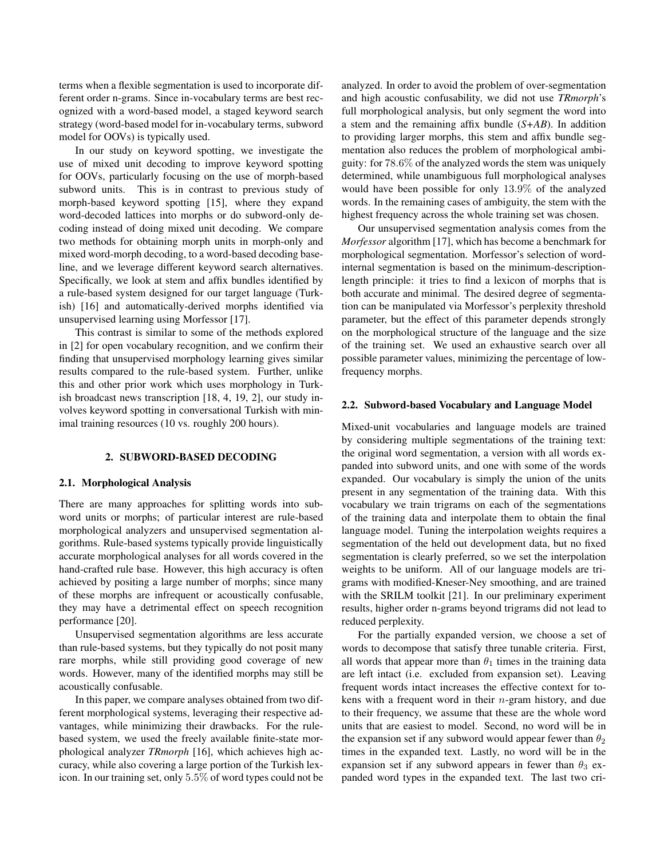terms when a flexible segmentation is used to incorporate different order n-grams. Since in-vocabulary terms are best recognized with a word-based model, a staged keyword search strategy (word-based model for in-vocabulary terms, subword model for OOVs) is typically used.

In our study on keyword spotting, we investigate the use of mixed unit decoding to improve keyword spotting for OOVs, particularly focusing on the use of morph-based subword units. This is in contrast to previous study of morph-based keyword spotting [15], where they expand word-decoded lattices into morphs or do subword-only decoding instead of doing mixed unit decoding. We compare two methods for obtaining morph units in morph-only and mixed word-morph decoding, to a word-based decoding baseline, and we leverage different keyword search alternatives. Specifically, we look at stem and affix bundles identified by a rule-based system designed for our target language (Turkish) [16] and automatically-derived morphs identified via unsupervised learning using Morfessor [17].

This contrast is similar to some of the methods explored in [2] for open vocabulary recognition, and we confirm their finding that unsupervised morphology learning gives similar results compared to the rule-based system. Further, unlike this and other prior work which uses morphology in Turkish broadcast news transcription [18, 4, 19, 2], our study involves keyword spotting in conversational Turkish with minimal training resources (10 vs. roughly 200 hours).

## 2. SUBWORD-BASED DECODING

## 2.1. Morphological Analysis

There are many approaches for splitting words into subword units or morphs; of particular interest are rule-based morphological analyzers and unsupervised segmentation algorithms. Rule-based systems typically provide linguistically accurate morphological analyses for all words covered in the hand-crafted rule base. However, this high accuracy is often achieved by positing a large number of morphs; since many of these morphs are infrequent or acoustically confusable, they may have a detrimental effect on speech recognition performance [20].

Unsupervised segmentation algorithms are less accurate than rule-based systems, but they typically do not posit many rare morphs, while still providing good coverage of new words. However, many of the identified morphs may still be acoustically confusable.

In this paper, we compare analyses obtained from two different morphological systems, leveraging their respective advantages, while minimizing their drawbacks. For the rulebased system, we used the freely available finite-state morphological analyzer *TRmorph* [16], which achieves high accuracy, while also covering a large portion of the Turkish lexicon. In our training set, only 5.5% of word types could not be analyzed. In order to avoid the problem of over-segmentation and high acoustic confusability, we did not use *TRmorph*'s full morphological analysis, but only segment the word into a stem and the remaining affix bundle (*S+AB*). In addition to providing larger morphs, this stem and affix bundle segmentation also reduces the problem of morphological ambiguity: for 78.6% of the analyzed words the stem was uniquely determined, while unambiguous full morphological analyses would have been possible for only 13.9% of the analyzed words. In the remaining cases of ambiguity, the stem with the highest frequency across the whole training set was chosen.

Our unsupervised segmentation analysis comes from the *Morfessor* algorithm [17], which has become a benchmark for morphological segmentation. Morfessor's selection of wordinternal segmentation is based on the minimum-descriptionlength principle: it tries to find a lexicon of morphs that is both accurate and minimal. The desired degree of segmentation can be manipulated via Morfessor's perplexity threshold parameter, but the effect of this parameter depends strongly on the morphological structure of the language and the size of the training set. We used an exhaustive search over all possible parameter values, minimizing the percentage of lowfrequency morphs.

## 2.2. Subword-based Vocabulary and Language Model

Mixed-unit vocabularies and language models are trained by considering multiple segmentations of the training text: the original word segmentation, a version with all words expanded into subword units, and one with some of the words expanded. Our vocabulary is simply the union of the units present in any segmentation of the training data. With this vocabulary we train trigrams on each of the segmentations of the training data and interpolate them to obtain the final language model. Tuning the interpolation weights requires a segmentation of the held out development data, but no fixed segmentation is clearly preferred, so we set the interpolation weights to be uniform. All of our language models are trigrams with modified-Kneser-Ney smoothing, and are trained with the SRILM toolkit [21]. In our preliminary experiment results, higher order n-grams beyond trigrams did not lead to reduced perplexity.

For the partially expanded version, we choose a set of words to decompose that satisfy three tunable criteria. First, all words that appear more than  $\theta_1$  times in the training data are left intact (i.e. excluded from expansion set). Leaving frequent words intact increases the effective context for tokens with a frequent word in their  $n$ -gram history, and due to their frequency, we assume that these are the whole word units that are easiest to model. Second, no word will be in the expansion set if any subword would appear fewer than  $\theta_2$ times in the expanded text. Lastly, no word will be in the expansion set if any subword appears in fewer than  $\theta_3$  expanded word types in the expanded text. The last two cri-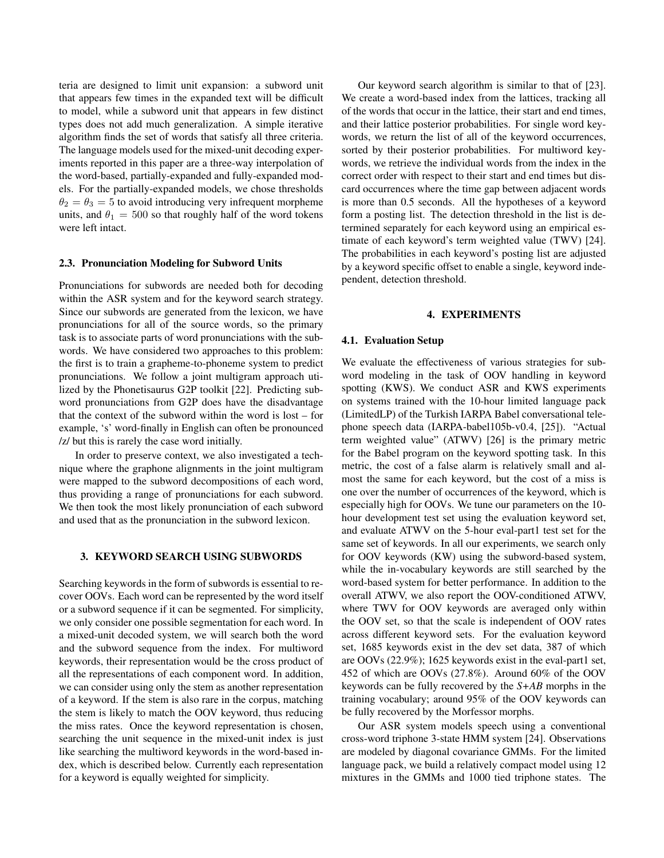teria are designed to limit unit expansion: a subword unit that appears few times in the expanded text will be difficult to model, while a subword unit that appears in few distinct types does not add much generalization. A simple iterative algorithm finds the set of words that satisfy all three criteria. The language models used for the mixed-unit decoding experiments reported in this paper are a three-way interpolation of the word-based, partially-expanded and fully-expanded models. For the partially-expanded models, we chose thresholds  $\theta_2 = \theta_3 = 5$  to avoid introducing very infrequent morpheme units, and  $\theta_1 = 500$  so that roughly half of the word tokens were left intact.

# 2.3. Pronunciation Modeling for Subword Units

Pronunciations for subwords are needed both for decoding within the ASR system and for the keyword search strategy. Since our subwords are generated from the lexicon, we have pronunciations for all of the source words, so the primary task is to associate parts of word pronunciations with the subwords. We have considered two approaches to this problem: the first is to train a grapheme-to-phoneme system to predict pronunciations. We follow a joint multigram approach utilized by the Phonetisaurus G2P toolkit [22]. Predicting subword pronunciations from G2P does have the disadvantage that the context of the subword within the word is lost – for example, 's' word-finally in English can often be pronounced /z/ but this is rarely the case word initially.

In order to preserve context, we also investigated a technique where the graphone alignments in the joint multigram were mapped to the subword decompositions of each word, thus providing a range of pronunciations for each subword. We then took the most likely pronunciation of each subword and used that as the pronunciation in the subword lexicon.

#### 3. KEYWORD SEARCH USING SUBWORDS

Searching keywords in the form of subwords is essential to recover OOVs. Each word can be represented by the word itself or a subword sequence if it can be segmented. For simplicity, we only consider one possible segmentation for each word. In a mixed-unit decoded system, we will search both the word and the subword sequence from the index. For multiword keywords, their representation would be the cross product of all the representations of each component word. In addition, we can consider using only the stem as another representation of a keyword. If the stem is also rare in the corpus, matching the stem is likely to match the OOV keyword, thus reducing the miss rates. Once the keyword representation is chosen, searching the unit sequence in the mixed-unit index is just like searching the multiword keywords in the word-based index, which is described below. Currently each representation for a keyword is equally weighted for simplicity.

Our keyword search algorithm is similar to that of [23]. We create a word-based index from the lattices, tracking all of the words that occur in the lattice, their start and end times, and their lattice posterior probabilities. For single word keywords, we return the list of all of the keyword occurrences, sorted by their posterior probabilities. For multiword keywords, we retrieve the individual words from the index in the correct order with respect to their start and end times but discard occurrences where the time gap between adjacent words is more than 0.5 seconds. All the hypotheses of a keyword form a posting list. The detection threshold in the list is determined separately for each keyword using an empirical estimate of each keyword's term weighted value (TWV) [24]. The probabilities in each keyword's posting list are adjusted by a keyword specific offset to enable a single, keyword independent, detection threshold.

### 4. EXPERIMENTS

# 4.1. Evaluation Setup

We evaluate the effectiveness of various strategies for subword modeling in the task of OOV handling in keyword spotting (KWS). We conduct ASR and KWS experiments on systems trained with the 10-hour limited language pack (LimitedLP) of the Turkish IARPA Babel conversational telephone speech data (IARPA-babel105b-v0.4, [25]). "Actual term weighted value" (ATWV) [26] is the primary metric for the Babel program on the keyword spotting task. In this metric, the cost of a false alarm is relatively small and almost the same for each keyword, but the cost of a miss is one over the number of occurrences of the keyword, which is especially high for OOVs. We tune our parameters on the 10 hour development test set using the evaluation keyword set, and evaluate ATWV on the 5-hour eval-part1 test set for the same set of keywords. In all our experiments, we search only for OOV keywords (KW) using the subword-based system, while the in-vocabulary keywords are still searched by the word-based system for better performance. In addition to the overall ATWV, we also report the OOV-conditioned ATWV, where TWV for OOV keywords are averaged only within the OOV set, so that the scale is independent of OOV rates across different keyword sets. For the evaluation keyword set, 1685 keywords exist in the dev set data, 387 of which are OOVs (22.9%); 1625 keywords exist in the eval-part1 set, 452 of which are OOVs (27.8%). Around 60% of the OOV keywords can be fully recovered by the *S+AB* morphs in the training vocabulary; around 95% of the OOV keywords can be fully recovered by the Morfessor morphs.

Our ASR system models speech using a conventional cross-word triphone 3-state HMM system [24]. Observations are modeled by diagonal covariance GMMs. For the limited language pack, we build a relatively compact model using 12 mixtures in the GMMs and 1000 tied triphone states. The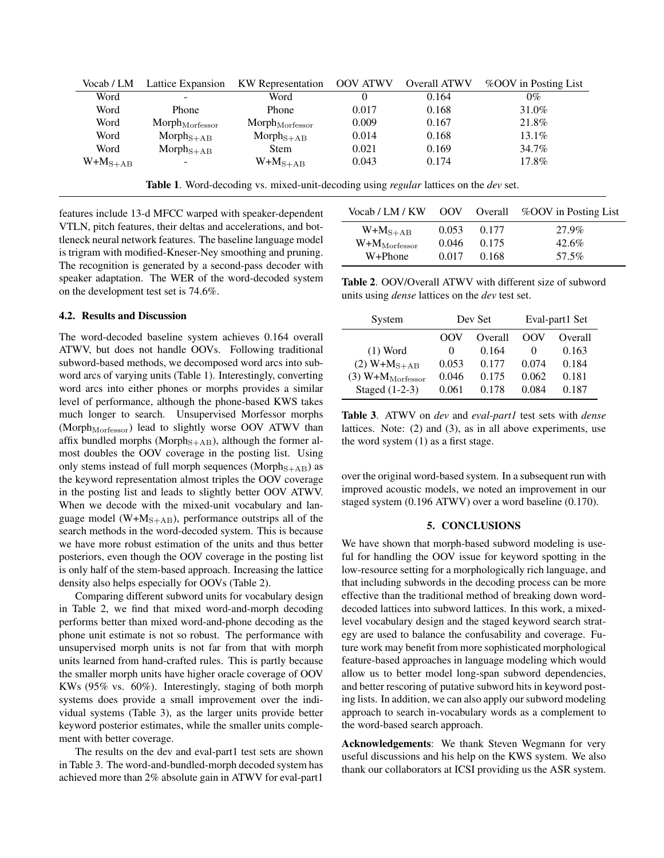| Vocab / LM   | Lattice Expansion         | KW Representation         | <b>OOV ATWV</b> | Overall ATWV | %OOV in Posting List |
|--------------|---------------------------|---------------------------|-----------------|--------------|----------------------|
| Word         |                           | Word                      |                 | 0.164        | $0\%$                |
| Word         | <b>Phone</b>              | Phone                     | 0.017           | 0.168        | 31.0%                |
| Word         | ${\rm Morph_{Morfessor}}$ | ${\rm Morph_{Morfessor}}$ | 0.009           | 0.167        | 21.8%                |
| Word         | $Morph_{S+AB}$            | $Morph_{S+AB}$            | 0.014           | 0.168        | 13.1%                |
| Word         | $Morph_{S+AB}$            | Stem                      | 0.021           | 0.169        | 34.7%                |
| $W+M_{S+AB}$ | ۰                         | $W+M_{S+AB}$              | 0.043           | 0.174        | 17.8%                |

Table 1. Word-decoding vs. mixed-unit-decoding using *regular* lattices on the *dev* set.

features include 13-d MFCC warped with speaker-dependent VTLN, pitch features, their deltas and accelerations, and bottleneck neural network features. The baseline language model is trigram with modified-Kneser-Ney smoothing and pruning. The recognition is generated by a second-pass decoder with speaker adaptation. The WER of the word-decoded system on the development test set is 74.6%.

# 4.2. Results and Discussion

The word-decoded baseline system achieves 0.164 overall ATWV, but does not handle OOVs. Following traditional subword-based methods, we decomposed word arcs into subword arcs of varying units (Table 1). Interestingly, converting word arcs into either phones or morphs provides a similar level of performance, although the phone-based KWS takes much longer to search. Unsupervised Morfessor morphs (Morph<sub>Morfessor</sub>) lead to slightly worse OOV ATWV than affix bundled morphs (Morph<sub>S+AB</sub>), although the former almost doubles the OOV coverage in the posting list. Using only stems instead of full morph sequences (Morph<sub>S+AB</sub>) as the keyword representation almost triples the OOV coverage in the posting list and leads to slightly better OOV ATWV. When we decode with the mixed-unit vocabulary and language model ( $W+M<sub>S+AB</sub>$ ), performance outstrips all of the search methods in the word-decoded system. This is because we have more robust estimation of the units and thus better posteriors, even though the OOV coverage in the posting list is only half of the stem-based approach. Increasing the lattice density also helps especially for OOVs (Table 2).

Comparing different subword units for vocabulary design in Table 2, we find that mixed word-and-morph decoding performs better than mixed word-and-phone decoding as the phone unit estimate is not so robust. The performance with unsupervised morph units is not far from that with morph units learned from hand-crafted rules. This is partly because the smaller morph units have higher oracle coverage of OOV KWs (95% vs. 60%). Interestingly, staging of both morph systems does provide a small improvement over the individual systems (Table 3), as the larger units provide better keyword posterior estimates, while the smaller units complement with better coverage.

The results on the dev and eval-part1 test sets are shown in Table 3. The word-and-bundled-morph decoded system has achieved more than 2% absolute gain in ATWV for eval-part1

| Vocab / LM / KW          | OOV   | Overall | %OOV in Posting List |
|--------------------------|-------|---------|----------------------|
| $W+M_{S+AB}$             | 0.053 | 0.177   | 27.9%                |
| $W+M_{\text{Morfessor}}$ | 0.046 | 0.175   | 42.6%                |
| W+Phone                  | 0.017 | 0.168   | 57.5%                |

Table 2. OOV/Overall ATWV with different size of subword units using *dense* lattices on the *dev* test set.

| System                         |          | Dev Set | Eval-part1 Set |         |
|--------------------------------|----------|---------|----------------|---------|
|                                | OOV      | Overall | OOV            | Overall |
| $(1)$ Word                     | $\theta$ | 0.164   | 0              | 0.163   |
| $(2) W + M_{S+AB}$             | 0.053    | 0.177   | 0.074          | 0.184   |
| $(3)$ W+M <sub>Morfessor</sub> | 0.046    | 0.175   | 0.062          | 0.181   |
| Staged (1-2-3)                 | 0.061    | 0.178   | 0.084          | 0.187   |

Table 3. ATWV on *dev* and *eval-part1* test sets with *dense* lattices. Note: (2) and (3), as in all above experiments, use the word system (1) as a first stage.

over the original word-based system. In a subsequent run with improved acoustic models, we noted an improvement in our staged system (0.196 ATWV) over a word baseline (0.170).

### 5. CONCLUSIONS

We have shown that morph-based subword modeling is useful for handling the OOV issue for keyword spotting in the low-resource setting for a morphologically rich language, and that including subwords in the decoding process can be more effective than the traditional method of breaking down worddecoded lattices into subword lattices. In this work, a mixedlevel vocabulary design and the staged keyword search strategy are used to balance the confusability and coverage. Future work may benefit from more sophisticated morphological feature-based approaches in language modeling which would allow us to better model long-span subword dependencies, and better rescoring of putative subword hits in keyword posting lists. In addition, we can also apply our subword modeling approach to search in-vocabulary words as a complement to the word-based search approach.

Acknowledgements: We thank Steven Wegmann for very useful discussions and his help on the KWS system. We also thank our collaborators at ICSI providing us the ASR system.